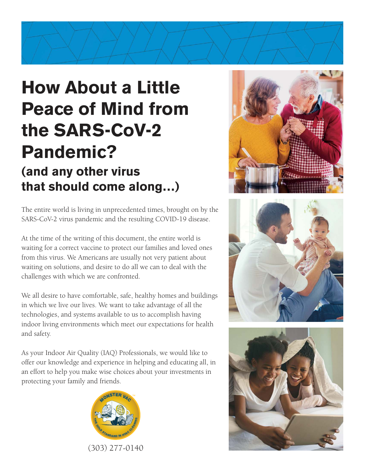# **How About a Little Peace of Mind from the SARS-CoV-2 Pandemic? (and any other virus that should come along…)**

The entire world is living in unprecedented times, brought on by the SARS-CoV-2 virus pandemic and the resulting COVID-19 disease.

At the time of the writing of this document, the entire world is waiting for a correct vaccine to protect our families and loved ones from this virus. We Americans are usually not very patient about waiting on solutions, and desire to do all we can to deal with the challenges with which we are confronted.

We all desire to have comfortable, safe, healthy homes and buildings in which we live our lives. We want to take advantage of all the technologies, and systems available to us to accomplish having indoor living environments which meet our expectations for health and safety.

As your Indoor Air Quality (IAQ) Professionals, we would like to offer our knowledge and experience in helping and educating all, in an effort to help you make wise choices about your investments in protecting your family and friends.







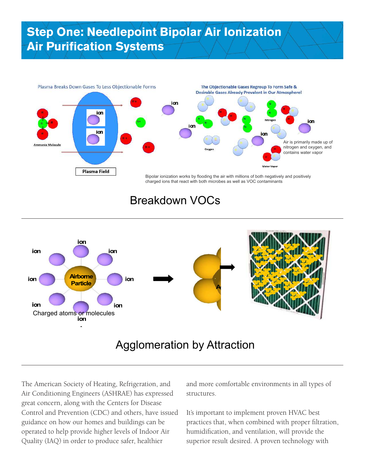# **Step One: Needlepoint Bipolar Air Ionization Air Purification Systems**



#### Breakdown VOCs



#### Agglomeration by Attraction

The American Society of Heating, Refrigeration, and Air Conditioning Engineers (ASHRAE) has expressed great concern, along with the Centers for Disease Control and Prevention (CDC) and others, have issued guidance on how our homes and buildings can be operated to help provide higher levels of Indoor Air Quality (IAQ) in order to produce safer, healthier

and more comfortable environments in all types of structures.

It's important to implement proven HVAC best practices that, when combined with proper filtration, humidification, and ventilation, will provide the superior result desired. A proven technology with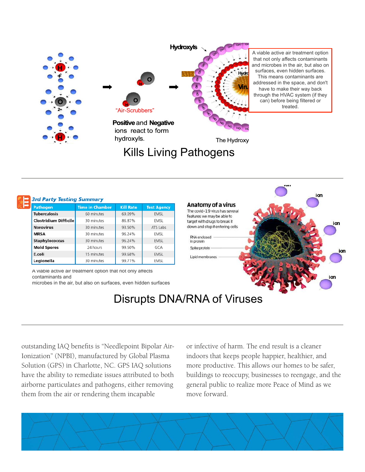

# Kills Living Pathogens



#### **3rd Party Testing Summary**

| <b>Pathogen</b>       | <b>Time in Chamber</b> | <b>Kill Rate</b> | <b>Test Agency</b> |
|-----------------------|------------------------|------------------|--------------------|
| <b>Tuberculosis</b>   | 60 minutes             | 69.09%           | <b>EMSL</b>        |
| Clostridium Difficile | 30 minutes             | 86.87%           | EMSL               |
| <b>Norovirus</b>      | 30 minutes             | 93.50%           | ATS Labs           |
| <b>MRSA</b>           | 30 minutes             | 96.24%           | EMSL               |
| Staphylococcus        | 30 minutes             | 96.24%           | <b>EMSL</b>        |
| <b>Mold Spores</b>    | 24 hours               | 99.50%           | GCA                |
| E.coli                | 15 minutes             | 99.68%           | <b>EMSL</b>        |
| Legionella            | 30 minutes             | 99.71%           | EMSL               |

A viable active air treatment option that not only affects contaminants and

microbes in the air, but also on surfaces, even hidden surfaces



### Disrupts DNA/RNA of Viruses

outstanding IAQ benefits is "Needlepoint Bipolar Air-Ionization" (NPBI), manufactured by Global Plasma Solution (GPS) in Charlotte, NC. GPS IAQ solutions have the ability to remediate issues attributed to both airborne particulates and pathogens, either removing them from the air or rendering them incapable

or infective of harm. The end result is a cleaner indoors that keeps people happier, healthier, and more productive. This allows our homes to be safer, buildings to reoccupy, businesses to reengage, and the general public to realize more Peace of Mind as we move forward.

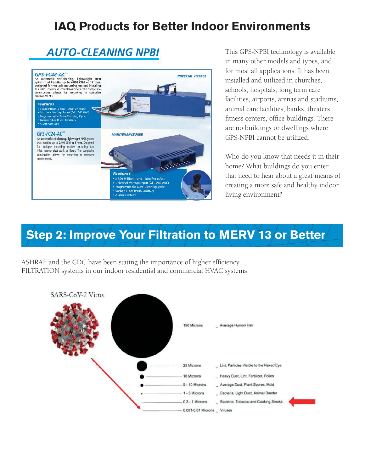### **IAQ Products for Better Indoor Environments**

# **AUTO-CLEANING NPBI**



 $\mathbb{P}^1$  :  $\mathbb{C}P^0$ This GPS-NPBI technology is available in many other models and types, and for most all applications. It has been installed and utilized in churches, schools, hospitals, long term care facilities, airports, arenas and stadiums, animal care facilities, banks, theaters, fitness centers, office buildings. There are no buildings or dwellings where GPS-NPBI cannot be utilized.

> Who do you know that needs it in their home? What buildings do you enter that need to hear about a great means of creating a more safe and healthy indoor living environment?

# **Step 2: Improve Your Filtration to MERV 13 or Better**

ASHRAE and the CDC have been stating the importance of higher efficiency FILTRATION systems in our indoor residential and commercial HVAC systems.

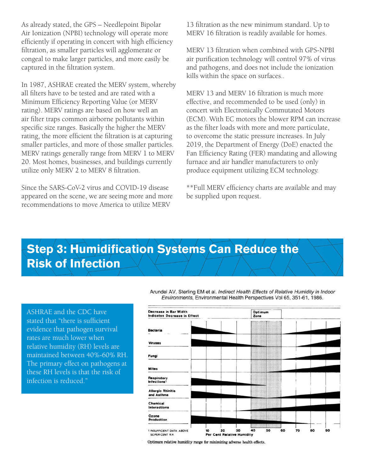As already stated, the GPS – Needlepoint Bipolar Air Ionization (NPBI) technology will operate more efficiently if operating in concert with high efficiency filtration, as smaller particles will agglomerate or congeal to make larger particles, and more easily be captured in the filtration system.

In 1987, ASHRAE created the MERV system, whereby all filters have to be tested and are rated with a Minimum Efficiency Reporting Value (or MERV rating). MERV ratings are based on how well an air filter traps common airborne pollutants within specific size ranges. Basically the higher the MERV rating, the more efficient the filtration is at capturing smaller particles, and more of those smaller particles. MERV ratings generally range from MERV 1 to MERV 20. Most homes, businesses, and buildings currently utilize only MERV 2 to MERV 8 filtration.

Since the SARS-CoV-2 virus and COVID-19 disease appeared on the scene, we are seeing more and more recommendations to move America to utilize MERV

13 filtration as the new minimum standard. Up to MERV 16 filtration is readily available for homes.

MERV 13 filtration when combined with GPS-NPBI air purification technology will control 97% of virus and pathogens, and does not include the ionization kills within the space on surfaces..

MERV 13 and MERV 16 filtration is much more effective, and recommended to be used (only) in concert with Electronically Commutated Motors (ECM). With EC motors the blower RPM can increase as the filter loads with more and more particulate, to overcome the static pressure increases. In July 2019, the Department of Energy (DoE) enacted the Fan Efficiency Rating (FER) mandating and allowing furnace and air handler manufacturers to only produce equipment utilizing ECM technology.

\*\*Full MERV efficiency charts are available and may be supplied upon request.

# **Step 3: Humidification Systems Can Reduce the Risk of Infection**

ASHRAE and the CDC have stated that "there is sufficient evidence that pathogen survival rates are much lower when relative humidity (RH) levels are maintained between 40%-60% RH. The primary effect on pathogens at these RH levels is that the risk of infection is reduced."

Arundel AV, Sterling EM et al. Indirect Health Effects of Relative Humidity in Indoor Environments, Environmental Health Perspectives Vol 65, 351-61, 1986.



Optimum relative humidity range for minimizing adverse health effects.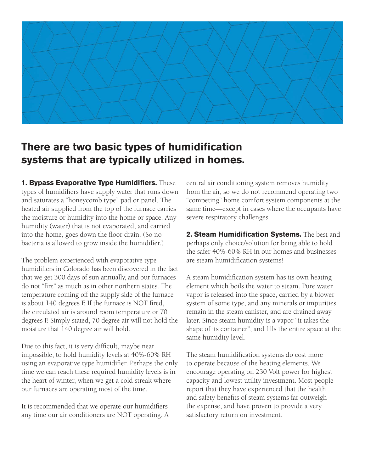

#### **There are two basic types of humidification systems that are typically utilized in homes.**

**1. Bypass Evaporative Type Humidifiers.** These types of humidifiers have supply water that runs down and saturates a "honeycomb type" pad or panel. The heated air supplied from the top of the furnace carries the moisture or humidity into the home or space. Any humidity (water) that is not evaporated, and carried into the home, goes down the floor drain. (So no bacteria is allowed to grow inside the humidifier.)

The problem experienced with evaporative type humidifiers in Colorado has been discovered in the fact that we get 300 days of sun annually, and our furnaces do not "fire" as much as in other northern states. The temperature coming off the supply side of the furnace is about 140 degrees F. If the furnace is NOT fired, the circulated air is around room temperature or 70 degrees F. Simply stated, 70 degree air will not hold the moisture that 140 degree air will hold.

Due to this fact, it is very difficult, maybe near impossible, to hold humidity levels at 40%-60% RH using an evaporative type humidifier. Perhaps the only time we can reach these required humidity levels is in the heart of winter, when we get a cold streak where our furnaces are operating most of the time.

It is recommended that we operate our humidifiers any time our air conditioners are NOT operating. A central air conditioning system removes humidity from the air, so we do not recommend operating two "competing" home comfort system components at the same time—except in cases where the occupants have severe respiratory challenges.

**2. Steam Humidification Systems.** The best and perhaps only choice/solution for being able to hold the safer 40%-60% RH in our homes and businesses are steam humidification systems!

A steam humidification system has its own heating element which boils the water to steam. Pure water vapor is released into the space, carried by a blower system of some type, and any minerals or impurities remain in the steam canister, and are drained away later. Since steam humidity is a vapor "it takes the shape of its container", and fills the entire space at the same humidity level.

The steam humidification systems do cost more to operate because of the heating elements. We encourage operating on 230 Volt power for highest capacity and lowest utility investment. Most people report that they have experienced that the health and safety benefits of steam systems far outweigh the expense, and have proven to provide a very satisfactory return on investment.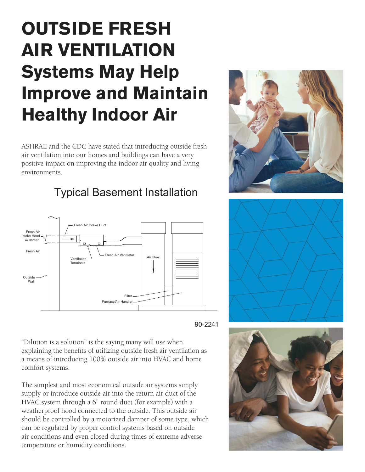# **OUTSIDE FRESH AIR VENTILATION Systems May Help Improve and Maintain Healthy Indoor Air**

ASHRAE and the CDC have stated that introducing outside fresh air ventilation into our homes and buildings can have a very positive impact on improving the indoor air quality and living environments.



#### Typical Basement Installation



"Dilution is a solution" is the saying many will use when explaining the benefits of utilizing outside fresh air ventilation as a means of introducing 100% outside air into HVAC and home comfort systems.

The simplest and most economical outside air systems simply supply or introduce outside air into the return air duct of the HVAC system through a 6" round duct (for example) with a weatherproof hood connected to the outside. This outside air should be controlled by a motorized damper of some type, which can be regulated by proper control systems based on outside air conditions and even closed during times of extreme adverse temperature or humidity conditions.